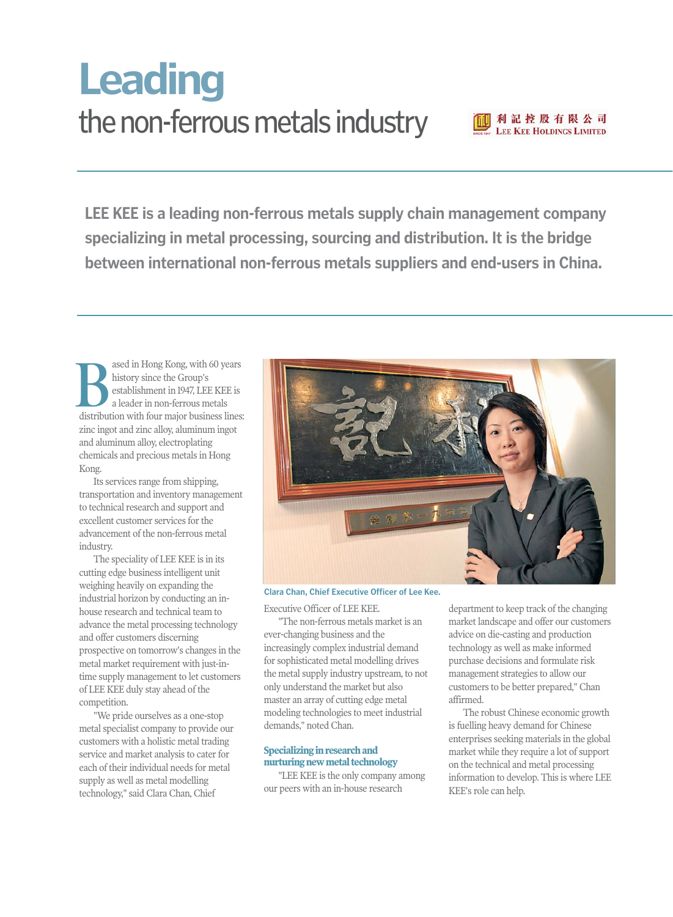# the non-ferrous metals industry **Leading**



**LEE KEE is a leading non-ferrous metals supply chain management company specializing in metal processing, sourcing and distribution. It is the bridge between international non-ferrous metals suppliers and end-users in China.** 

ased in Hong Kong, with 60 years history since the Group's establishment in 1947, LEE KEE is a leader in non-ferrous metals distribution with four major business lines:<br>  $\sum_{\text{a leader in non-ferrous metals}}$ <br>
distribution with four major business lines: zinc ingot and zinc alloy, aluminum ingot and aluminum alloy, electroplating chemicals and precious metals in Hong Kong.

Its services range from shipping, transportation and inventory management to technical research and support and excellent customer services for the advancement of the non-ferrous metal industry.

The speciality of LEE KEE is in its cutting edge business intelligent unit weighing heavily on expanding the industrial horizon by conducting an inhouse research and technical team to advance the metal processing technology and offer customers discerning prospective on tomorrow's changes in the metal market requirement with just-intime supply management to let customers of LEE KEE duly stay ahead of the competition.

"We pride ourselves as a one-stop metal specialist company to provide our customers with a holistic metal trading service and market analysis to cater for each of their individual needs for metal supply as well as metal modelling technology," said Clara Chan, Chief



# **Clara Chan, Chief Executive Officer of Lee Kee.**

Executive Officer of LEE KEE.

"The non-ferrous metals market is an ever-changing business and the increasingly complex industrial demand for sophisticated metal modelling drives the metal supply industry upstream, to not only understand the market but also master an array of cutting edge metal modeling technologies to meet industrial demands," noted Chan.

### **Specializing in research and nurturing new metal technology**

"LEE KEE is the only company among our peers with an in-house research

department to keep track of the changing market landscape and offer our customers advice on die-casting and production technology as well as make informed purchase decisions and formulate risk management strategies to allow our customers to be better prepared," Chan affirmed.

The robust Chinese economic growth is fuelling heavy demand for Chinese enterprises seeking materials in the global market while they require a lot of support on the technical and metal processing information to develop. This is where LEE KEE's role can help.